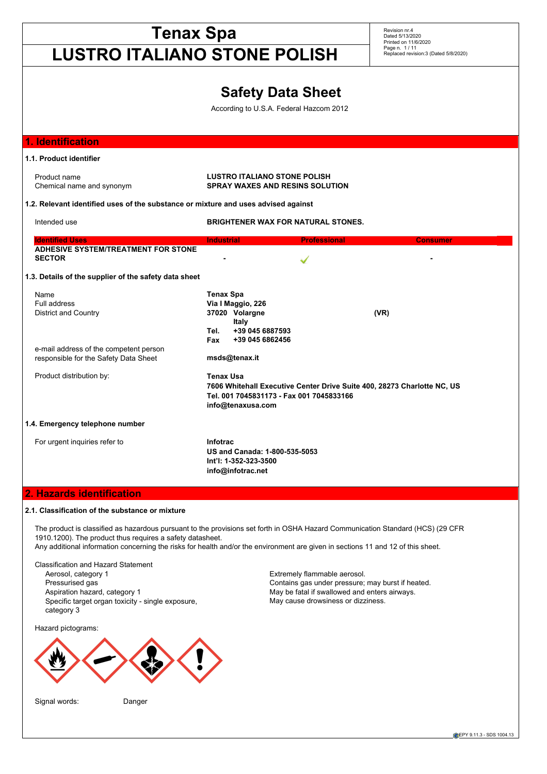# **Tenax Spa LUSTRO ITALIANO STONE POLISH** Revision nr.4 Dated 5/13/2020 Printed on 11/6/2020 Page n. 1 / 11 Replaced revision:3 (Dated 5/8/2020) **Safety Data Sheet** According to U.S.A. Federal Hazcom 2012 **1. Identification 1.1. Product identifier** Product name<br> **Chemical name and synonym**<br> **Chemical name and synonym**<br> **Chemical name and synonym**<br> **CHEMO SPRAY WAXES AND RESINS SOLU SPRAY WAXES AND RESINS SOLUTION 1.2. Relevant identified uses of the substance or mixture and uses advised against** Intended use **BRIGHTENER WAX FOR NATURAL STONES. Identified Uses Industrial Professional Consumer ADHESIVE SYSTEM/TREATMENT FOR STONE SECTOR** *CONTINUES AND RESERVE AT A SECTOR* **1.3. Details of the supplier of the safety data sheet** Name **Tenax Spa** Full address **Via I Maggio, 226** District and Country **37020 Volargne (VR) Italy Tel. +39 045 6887593 Fax +39 045 6862456** e-mail address of the competent person responsible for the Safety Data Sheet **msds@tenax.it** Product distribution by: **Tenax Usa 7606 Whitehall Executive Center Drive Suite 400, 28273 Charlotte NC, US Tel. 001 7045831173 - Fax 001 7045833166 info@tenaxusa.com 1.4. Emergency telephone number** For urgent inquiries refer to **Infotrac US and Canada: 1-800-535-5053 Int'l: 1-352-323-3500 info@infotrac.net 2. Hazards identification 2.1. Classification of the substance or mixture** The product is classified as hazardous pursuant to the provisions set forth in OSHA Hazard Communication Standard (HCS) (29 CFR 1910.1200). The product thus requires a safety datasheet.

Any additional information concerning the risks for health and/or the environment are given in sections 11 and 12 of this sheet.

Classification and Hazard Statement Aerosol, category 1 **Extremely flammable aerosol.** Specific target organ toxicity - single exposure, category 3

Hazard pictograms:





Pressurised gas extending the Contains gas under pressure; may burst if heated. Aspiration hazard, category 1 May be fatal if swallowed and enters airways. May cause drowsiness or dizziness.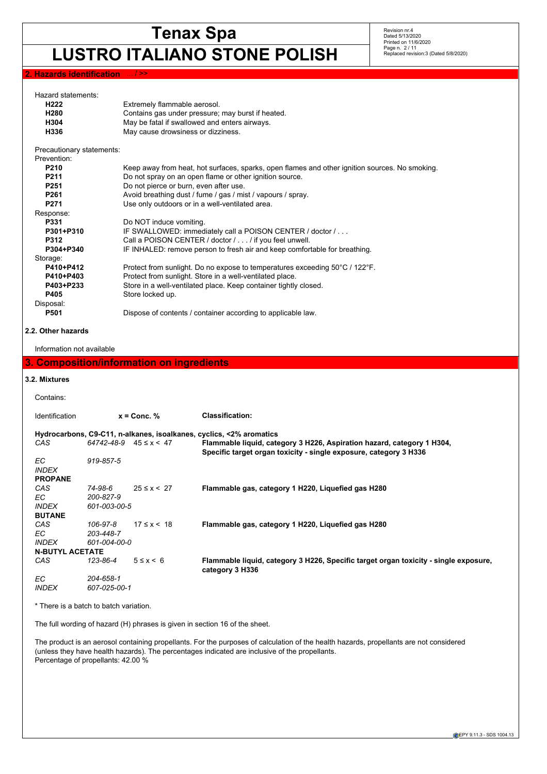# **LUSTRO ITALIANO STONE POLISH**

Revision nr.4 Dated 5/13/2020 Printed on 11/6/2020 Page n. 2 / 11 Replaced revision:3 (Dated 5/8/2020)

# **2. Hazards identification**

| Hazard statements:                              |                                           |                                    |                                                                                                         |
|-------------------------------------------------|-------------------------------------------|------------------------------------|---------------------------------------------------------------------------------------------------------|
| H222                                            |                                           | Extremely flammable aerosol.       |                                                                                                         |
| H280                                            |                                           |                                    | Contains gas under pressure; may burst if heated.                                                       |
| H304                                            |                                           |                                    | May be fatal if swallowed and enters airways.                                                           |
| H336                                            |                                           | May cause drowsiness or dizziness. |                                                                                                         |
|                                                 |                                           |                                    |                                                                                                         |
| Precautionary statements:                       |                                           |                                    |                                                                                                         |
| Prevention:                                     |                                           |                                    |                                                                                                         |
| P210                                            |                                           |                                    | Keep away from heat, hot surfaces, sparks, open flames and other ignition sources. No smoking.          |
| P211                                            |                                           |                                    | Do not spray on an open flame or other ignition source.                                                 |
| P <sub>251</sub>                                |                                           |                                    | Do not pierce or burn, even after use.                                                                  |
| P261                                            |                                           |                                    | Avoid breathing dust / fume / gas / mist / vapours / spray.                                             |
| P <sub>271</sub>                                |                                           |                                    | Use only outdoors or in a well-ventilated area.                                                         |
| Response:                                       |                                           |                                    |                                                                                                         |
| P331                                            |                                           | Do NOT induce vomiting.            |                                                                                                         |
| P301+P310                                       |                                           |                                    | IF SWALLOWED: immediately call a POISON CENTER / doctor /                                               |
| P312                                            |                                           |                                    | Call a POISON CENTER / doctor / / if you feel unwell.                                                   |
| P304+P340                                       |                                           |                                    | IF INHALED: remove person to fresh air and keep comfortable for breathing.                              |
| Storage:                                        |                                           |                                    |                                                                                                         |
| P410+P412                                       |                                           |                                    | Protect from sunlight. Do no expose to temperatures exceeding 50°C / 122°F.                             |
| P410+P403                                       |                                           |                                    | Protect from sunlight. Store in a well-ventilated place.                                                |
| P403+P233                                       |                                           |                                    | Store in a well-ventilated place. Keep container tightly closed.                                        |
| P405                                            |                                           | Store locked up.                   |                                                                                                         |
| Disposal:                                       |                                           |                                    |                                                                                                         |
| P501                                            |                                           |                                    | Dispose of contents / container according to applicable law.                                            |
|                                                 |                                           |                                    |                                                                                                         |
| 2.2. Other hazards<br>Information not available |                                           |                                    |                                                                                                         |
|                                                 |                                           |                                    |                                                                                                         |
|                                                 | 3. Composition/information on ingredients |                                    |                                                                                                         |
| 3.2. Mixtures                                   |                                           |                                    |                                                                                                         |
|                                                 |                                           |                                    |                                                                                                         |
| Contains:                                       |                                           |                                    |                                                                                                         |
|                                                 |                                           |                                    |                                                                                                         |
| Identification                                  |                                           | $x =$ Conc. %                      | <b>Classification:</b>                                                                                  |
|                                                 |                                           |                                    |                                                                                                         |
|                                                 |                                           |                                    | Hydrocarbons, C9-C11, n-alkanes, isoalkanes, cyclics, <2% aromatics                                     |
| CAS                                             | $64742 - 48 - 9$ $45 \le x \le 47$        |                                    | Flammable liquid, category 3 H226, Aspiration hazard, category 1 H304,                                  |
|                                                 | 919-857-5                                 |                                    | Specific target organ toxicity - single exposure, category 3 H336                                       |
| EС                                              |                                           |                                    |                                                                                                         |
| <b>INDEX</b>                                    |                                           |                                    |                                                                                                         |
| <b>PROPANE</b>                                  |                                           |                                    |                                                                                                         |
| CAS                                             | 74-98-6                                   | $25 \le x \le 27$                  | Flammable gas, category 1 H220, Liquefied gas H280                                                      |
| ЕC                                              | 200-827-9                                 |                                    |                                                                                                         |
| <i>INDEX</i>                                    | 601-003-00-5                              |                                    |                                                                                                         |
| <b>BUTANE</b>                                   |                                           |                                    |                                                                                                         |
| CAS                                             | 106-97-8                                  | $17 \le x \le 18$                  | Flammable gas, category 1 H220, Liquefied gas H280                                                      |
| EC                                              | 203-448-7                                 |                                    |                                                                                                         |
| <i>INDEX</i>                                    | 601-004-00-0                              |                                    |                                                                                                         |
| <b>N-BUTYL ACETATE</b>                          |                                           |                                    |                                                                                                         |
| CAS                                             | 123-86-4                                  | $5 \leq x \leq 6$                  | Flammable liquid, category 3 H226, Specific target organ toxicity - single exposure.<br>category 3 H336 |
| EC                                              | 204-658-1                                 |                                    |                                                                                                         |
| <b>INDEX</b>                                    | 607-025-00-1                              |                                    |                                                                                                         |
|                                                 |                                           |                                    |                                                                                                         |

\* There is a batch to batch variation.

The full wording of hazard (H) phrases is given in section 16 of the sheet.

The product is an aerosol containing propellants. For the purposes of calculation of the health hazards, propellants are not considered (unless they have health hazards). The percentages indicated are inclusive of the propellants. Percentage of propellants: 42.00 %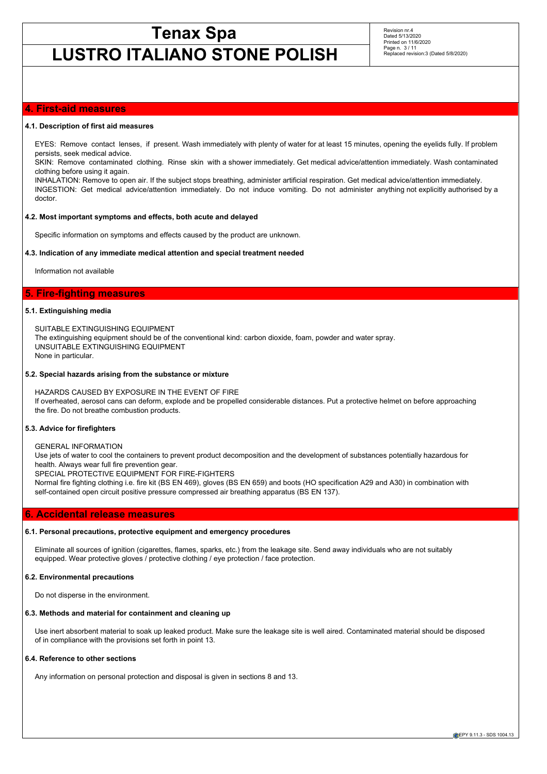# **LUSTRO ITALIANO STONE POLISH**

Revision nr.4 Dated 5/13/2020 Printed on 11/6/2020 Page n. 3 / 11 Replaced revision:3 (Dated 5/8/2020)

# **4. First-aid measures**

#### **4.1. Description of first aid measures**

EYES: Remove contact lenses, if present. Wash immediately with plenty of water for at least 15 minutes, opening the eyelids fully. If problem persists, seek medical advice.

SKIN: Remove contaminated clothing. Rinse skin with a shower immediately. Get medical advice/attention immediately. Wash contaminated clothing before using it again.

INHALATION: Remove to open air. If the subject stops breathing, administer artificial respiration. Get medical advice/attention immediately. INGESTION: Get medical advice/attention immediately. Do not induce vomiting. Do not administer anything not explicitly authorised by a doctor.

### **4.2. Most important symptoms and effects, both acute and delayed**

Specific information on symptoms and effects caused by the product are unknown.

#### **4.3. Indication of any immediate medical attention and special treatment needed**

Information not available

# **5. Fire-fighting measures**

#### **5.1. Extinguishing media**

SUITABLE EXTINGUISHING EQUIPMENT The extinguishing equipment should be of the conventional kind: carbon dioxide, foam, powder and water spray. UNSUITABLE EXTINGUISHING EQUIPMENT None in particular.

#### **5.2. Special hazards arising from the substance or mixture**

HAZARDS CAUSED BY EXPOSURE IN THE EVENT OF FIRE If overheated, aerosol cans can deform, explode and be propelled considerable distances. Put a protective helmet on before approaching the fire. Do not breathe combustion products.

### **5.3. Advice for firefighters**

# GENERAL INFORMATION

Use jets of water to cool the containers to prevent product decomposition and the development of substances potentially hazardous for health. Always wear full fire prevention gear.

SPECIAL PROTECTIVE EQUIPMENT FOR FIRE-FIGHTERS

Normal fire fighting clothing i.e. fire kit (BS EN 469), gloves (BS EN 659) and boots (HO specification A29 and A30) in combination with self-contained open circuit positive pressure compressed air breathing apparatus (BS EN 137).

# **6. Accidental release measures**

### **6.1. Personal precautions, protective equipment and emergency procedures**

Eliminate all sources of ignition (cigarettes, flames, sparks, etc.) from the leakage site. Send away individuals who are not suitably equipped. Wear protective gloves / protective clothing / eye protection / face protection.

#### **6.2. Environmental precautions**

Do not disperse in the environment.

#### **6.3. Methods and material for containment and cleaning up**

Use inert absorbent material to soak up leaked product. Make sure the leakage site is well aired. Contaminated material should be disposed of in compliance with the provisions set forth in point 13.

### **6.4. Reference to other sections**

Any information on personal protection and disposal is given in sections 8 and 13.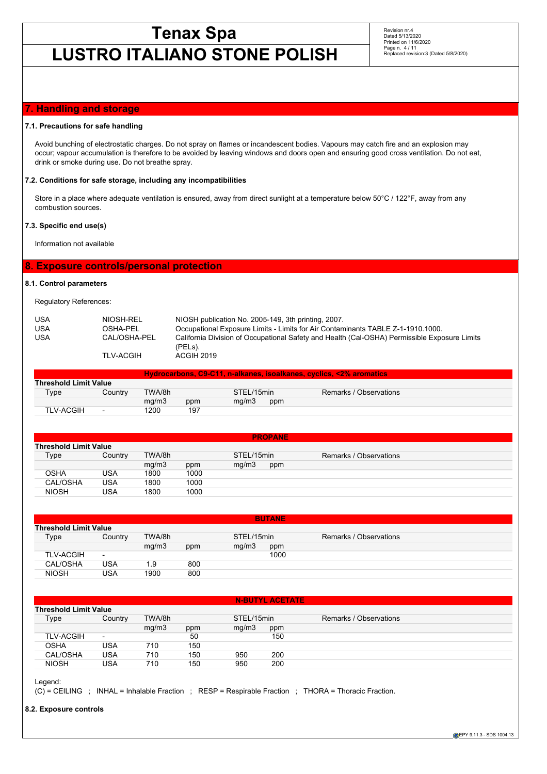# **LUSTRO ITALIANO STONE POLISH**

Revision nr.4 Dated 5/13/2020 Printed on 11/6/2020 Page n. 4 / 11 Replaced revision:3 (Dated 5/8/2020)

# **7. Handling and storage**

### **7.1. Precautions for safe handling**

Avoid bunching of electrostatic charges. Do not spray on flames or incandescent bodies. Vapours may catch fire and an explosion may occur; vapour accumulation is therefore to be avoided by leaving windows and doors open and ensuring good cross ventilation. Do not eat, drink or smoke during use. Do not breathe spray.

## **7.2. Conditions for safe storage, including any incompatibilities**

Store in a place where adequate ventilation is ensured, away from direct sunlight at a temperature below 50°C / 122°F, away from any combustion sources.

# **7.3. Specific end use(s)**

Information not available

# **8. Exposure controls/personal protection**

# **8.1. Control parameters**

Regulatory References:

| <b>USA</b> | NIOSH-REL        | NIOSH publication No. 2005-149, 3th printing, 2007.                                          |
|------------|------------------|----------------------------------------------------------------------------------------------|
| <b>USA</b> | OSHA-PEL         | Occupational Exposure Limits - Limits for Air Contaminants TABLE Z-1-1910.1000.              |
| <b>USA</b> | CAL/OSHA-PEL     | California Division of Occupational Safety and Health (Cal-OSHA) Permissible Exposure Limits |
|            |                  | (PELs).                                                                                      |
|            | <b>TLV-ACGIH</b> | ACGIH 2019                                                                                   |

| <u> Hydrocarbons, C9-C11, n-alkanes, isoalkanes, cyclics, &lt;2% aromatics </u> |                          |        |     |            |     |                        |  |
|---------------------------------------------------------------------------------|--------------------------|--------|-----|------------|-----|------------------------|--|
| <b>Threshold Limit Value</b>                                                    |                          |        |     |            |     |                        |  |
| $T$ <sub>V</sub> pe                                                             | Country                  | TWA/8h |     | STEL/15min |     | Remarks / Observations |  |
|                                                                                 |                          | ma/m3  | ppm | ma/m3      | ppm |                        |  |
| <b>TLV-ACGIH</b>                                                                | $\overline{\phantom{0}}$ | 1200   | 197 |            |     |                        |  |

|              | <b>PROPANE</b>               |        |      |            |     |                        |  |  |
|--------------|------------------------------|--------|------|------------|-----|------------------------|--|--|
|              | <b>Threshold Limit Value</b> |        |      |            |     |                        |  |  |
| Type         | Country                      | TWA/8h |      | STEL/15min |     | Remarks / Observations |  |  |
|              |                              | mg/m3  | ppm  | mq/m3      | ppm |                        |  |  |
| <b>OSHA</b>  | <b>USA</b>                   | 1800   | 1000 |            |     |                        |  |  |
| CAL/OSHA     | <b>USA</b>                   | 1800   | 1000 |            |     |                        |  |  |
| <b>NIOSH</b> | USA                          | 1800   | 1000 |            |     |                        |  |  |

|                  | <b>BUTANE</b>                |        |     |            |      |                        |  |  |
|------------------|------------------------------|--------|-----|------------|------|------------------------|--|--|
|                  | <b>Threshold Limit Value</b> |        |     |            |      |                        |  |  |
| Type             | Country                      | TWA/8h |     | STEL/15min |      | Remarks / Observations |  |  |
|                  |                              | mg/m3  | ppm | mg/m3      | ppm  |                        |  |  |
| <b>TLV-ACGIH</b> | $\overline{\phantom{0}}$     |        |     |            | 1000 |                        |  |  |
| CAL/OSHA         | USA                          | 1.9    | 800 |            |      |                        |  |  |
| <b>NIOSH</b>     | USA                          | 1900   | 800 |            |      |                        |  |  |

|                              | <b>N-BUTYL ACETATE</b>   |        |     |            |     |                        |  |  |
|------------------------------|--------------------------|--------|-----|------------|-----|------------------------|--|--|
| <b>Threshold Limit Value</b> |                          |        |     |            |     |                        |  |  |
| Type                         | Country                  | TWA/8h |     | STEL/15min |     | Remarks / Observations |  |  |
|                              |                          | mg/m3  | ppm | mq/m3      | ppm |                        |  |  |
| <b>TLV-ACGIH</b>             | $\overline{\phantom{0}}$ |        | 50  |            | 150 |                        |  |  |
| OSHA                         | USA                      | 710    | 150 |            |     |                        |  |  |
| CAL/OSHA                     | <b>USA</b>               | 710    | 150 | 950        | 200 |                        |  |  |
| <b>NIOSH</b>                 | USA                      | 710    | 150 | 950        | 200 |                        |  |  |

Legend:

(C) = CEILING ; INHAL = Inhalable Fraction ; RESP = Respirable Fraction ; THORA = Thoracic Fraction.

**8.2. Exposure controls**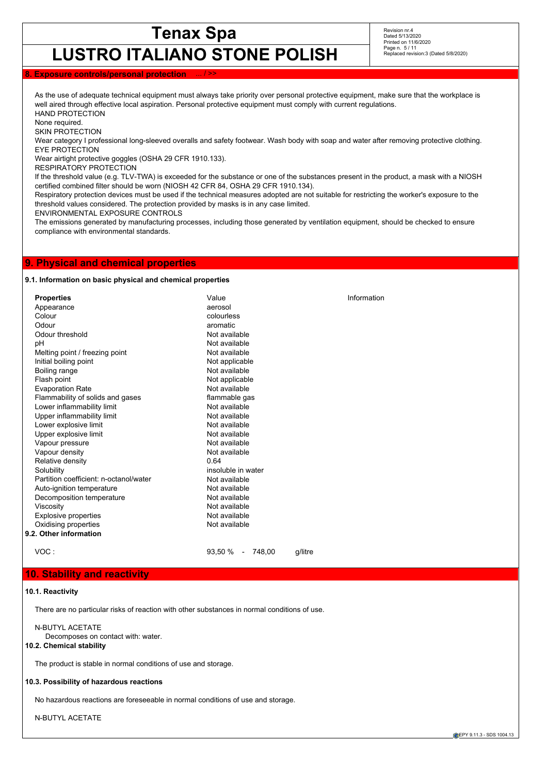**LUSTRO ITALIANO STONE POLISH**

Revision nr.4 Dated 5/13/2020 Printed on 11/6/2020 Page n. 5 / 11 Replaced revision:3 (Dated 5/8/2020)

# **8. Exposure controls/personal protection**

As the use of adequate technical equipment must always take priority over personal protective equipment, make sure that the workplace is well aired through effective local aspiration. Personal protective equipment must comply with current regulations. HAND PROTECTION

None required.

SKIN PROTECTION

Wear category I professional long-sleeved overalls and safety footwear. Wash body with soap and water after removing protective clothing. EYE PROTECTION

Wear airtight protective goggles (OSHA 29 CFR 1910.133).

RESPIRATORY PROTECTION

If the threshold value (e.g. TLV-TWA) is exceeded for the substance or one of the substances present in the product, a mask with a NIOSH certified combined filter should be worn (NIOSH 42 CFR 84, OSHA 29 CFR 1910.134).

Respiratory protection devices must be used if the technical measures adopted are not suitable for restricting the worker's exposure to the threshold values considered. The protection provided by masks is in any case limited.

ENVIRONMENTAL EXPOSURE CONTROLS

The emissions generated by manufacturing processes, including those generated by ventilation equipment, should be checked to ensure compliance with environmental standards.

# **9. Physical and chemical properties**

### **9.1. Information on basic physical and chemical properties**

| <b>Properties</b>                      | Value                 | Information |
|----------------------------------------|-----------------------|-------------|
| Appearance                             | aerosol               |             |
| Colour                                 | colourless            |             |
| Odour                                  | aromatic              |             |
| Odour threshold                        | Not available         |             |
| pH                                     | Not available         |             |
| Melting point / freezing point         | Not available         |             |
| Initial boiling point                  | Not applicable        |             |
| Boiling range                          | Not available         |             |
| Flash point                            | Not applicable        |             |
| <b>Evaporation Rate</b>                | Not available         |             |
| Flammability of solids and gases       | flammable gas         |             |
| Lower inflammability limit             | Not available         |             |
| Upper inflammability limit             | Not available         |             |
| Lower explosive limit                  | Not available         |             |
| Upper explosive limit                  | Not available         |             |
| Vapour pressure                        | Not available         |             |
| Vapour density                         | Not available         |             |
| Relative density                       | 0.64                  |             |
| Solubility                             | insoluble in water    |             |
| Partition coefficient: n-octanol/water | Not available         |             |
| Auto-ignition temperature              | Not available         |             |
| Decomposition temperature              | Not available         |             |
| Viscosity                              | Not available         |             |
| <b>Explosive properties</b>            | Not available         |             |
| Oxidising properties                   | Not available         |             |
| 9.2. Other information                 |                       |             |
| VOC:                                   | $93,50\%$ -<br>748.00 | q/litre     |

# **10. Stability and reactivity**

#### **10.1. Reactivity**

There are no particular risks of reaction with other substances in normal conditions of use.

N-BUTYL ACETATE Decomposes on contact with: water.

## **10.2. Chemical stability**

The product is stable in normal conditions of use and storage.

## **10.3. Possibility of hazardous reactions**

No hazardous reactions are foreseeable in normal conditions of use and storage.

N-BUTYL ACETATE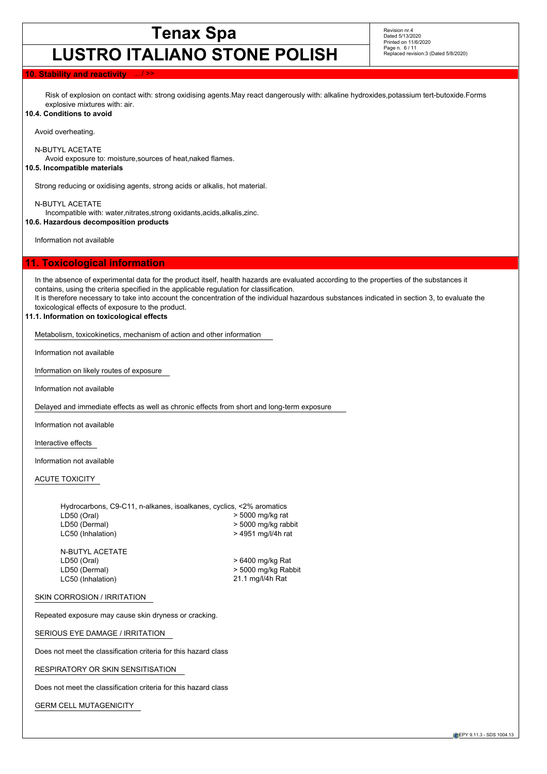# **LUSTRO ITALIANO STONE POLISH**

Revision nr.4 Dated 5/13/2020 Printed on 11/6/2020 Page n. 6 / 11 Replaced revision:3 (Dated 5/8/2020)

# **10. Stability and reactivity**

Risk of explosion on contact with: strong oxidising agents.May react dangerously with: alkaline hydroxides,potassium tert-butoxide.Forms explosive mixtures with: air.

### **10.4. Conditions to avoid**

Avoid overheating.

N-BUTYL ACETATE

Avoid exposure to: moisture,sources of heat,naked flames.

# **10.5. Incompatible materials**

Strong reducing or oxidising agents, strong acids or alkalis, hot material.

N-BUTYL ACETATE

Incompatible with: water,nitrates,strong oxidants,acids,alkalis,zinc.

**10.6. Hazardous decomposition products**

Information not available

# **11. Toxicological information**

In the absence of experimental data for the product itself, health hazards are evaluated according to the properties of the substances it contains, using the criteria specified in the applicable regulation for classification. It is therefore necessary to take into account the concentration of the individual hazardous substances indicated in section 3, to evaluate the toxicological effects of exposure to the product.

## **11.1. Information on toxicological effects**

Metabolism, toxicokinetics, mechanism of action and other information

Information not available

Information on likely routes of exposure

Information not available

Delayed and immediate effects as well as chronic effects from short and long-term exposure

Information not available

Interactive effects

Information not available

### ACUTE TOXICITY

| Hydrocarbons, C9-C11, n-alkanes, isoalkanes, cyclics, <2% aromatics |                     |
|---------------------------------------------------------------------|---------------------|
| LD50 (Oral)                                                         | > 5000 mg/kg rat    |
| LD50 (Dermal)                                                       | > 5000 mg/kg rabbit |
| LC50 (Inhalation)                                                   | > 4951 mg/l/4h rat  |
|                                                                     |                     |

N-BUTYL ACETATE<br>LD50 (Oral) LD50 (Dermal) > 5000 mg/kg Rabbit LC50 (Inhalation)

 $>6400$  mg/kg Rat

# SKIN CORROSION / IRRITATION

Repeated exposure may cause skin dryness or cracking.

SERIOUS EYE DAMAGE / IRRITATION

Does not meet the classification criteria for this hazard class

RESPIRATORY OR SKIN SENSITISATION

Does not meet the classification criteria for this hazard class

GERM CELL MUTAGENICITY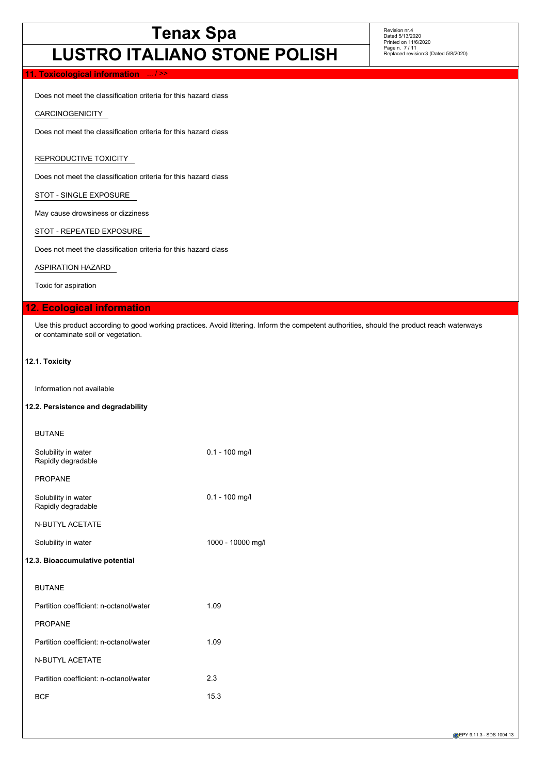# **LUSTRO ITALIANO STONE POLISH**

Revision nr.4 Dated 5/13/2020 Printed on 11/6/2020 Page n. 7 / 11 Replaced revision:3 (Dated 5/8/2020)

## **11. Toxicological information**

Does not meet the classification criteria for this hazard class

CARCINOGENICITY

Does not meet the classification criteria for this hazard class

# REPRODUCTIVE TOXICITY

Does not meet the classification criteria for this hazard class

STOT - SINGLE EXPOSURE

May cause drowsiness or dizziness

STOT - REPEATED EXPOSURE

Does not meet the classification criteria for this hazard class

ASPIRATION HAZARD

Toxic for aspiration

# **12. Ecological information**

Use this product according to good working practices. Avoid littering. Inform the competent authorities, should the product reach waterways or contaminate soil or vegetation.

## **12.1. Toxicity**

Information not available

# **12.2. Persistence and degradability**

| <b>BUTANE</b>                             |                   |
|-------------------------------------------|-------------------|
| Solubility in water<br>Rapidly degradable | $0.1 - 100$ mg/l  |
| <b>PROPANE</b>                            |                   |
| Solubility in water<br>Rapidly degradable | $0.1 - 100$ mg/l  |
| <b>N-BUTYL ACETATE</b>                    |                   |
| Solubility in water                       | 1000 - 10000 mg/l |
| 12.3. Bioaccumulative potential           |                   |
| <b>BUTANE</b>                             |                   |
| Partition coefficient: n-octanol/water    | 1.09              |
| <b>PROPANE</b>                            |                   |
| Partition coefficient: n-octanol/water    | 1.09              |
| <b>N-BUTYL ACETATE</b>                    |                   |
| Partition coefficient: n-octanol/water    | 2.3               |
| <b>BCF</b>                                | 15.3              |
|                                           |                   |

**EPY 9.11.3 - SDS 1004.13**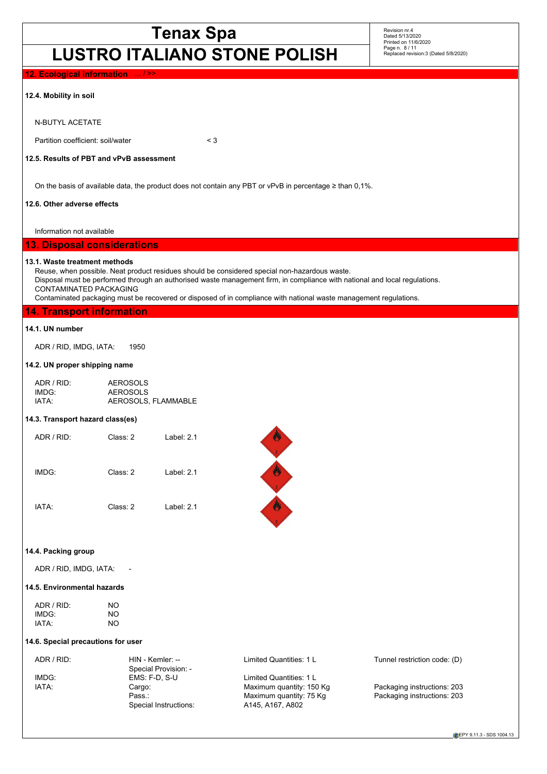# **LUSTRO ITALIANO STONE POLISH**

Revision nr.4 Dated 5/13/2020 Printed on 11/6/2020 Page n. 8 / 11 Replaced revision:3 (Dated 5/8/2020)

| LUJINU IIALIANU JIUNL FULIJII                                                                                                                            |                                                                                                                                                                                                                                                 |  |
|----------------------------------------------------------------------------------------------------------------------------------------------------------|-------------------------------------------------------------------------------------------------------------------------------------------------------------------------------------------------------------------------------------------------|--|
| 12. Ecological information  / >>                                                                                                                         |                                                                                                                                                                                                                                                 |  |
| 12.4. Mobility in soil                                                                                                                                   |                                                                                                                                                                                                                                                 |  |
| <b>N-BUTYL ACETATE</b>                                                                                                                                   |                                                                                                                                                                                                                                                 |  |
| Partition coefficient: soil/water                                                                                                                        | $<$ 3                                                                                                                                                                                                                                           |  |
| 12.5. Results of PBT and vPvB assessment                                                                                                                 |                                                                                                                                                                                                                                                 |  |
|                                                                                                                                                          | On the basis of available data, the product does not contain any PBT or vPvB in percentage $\geq$ than 0,1%.                                                                                                                                    |  |
| 12.6. Other adverse effects                                                                                                                              |                                                                                                                                                                                                                                                 |  |
| Information not available                                                                                                                                |                                                                                                                                                                                                                                                 |  |
| <b>13. Disposal considerations</b>                                                                                                                       |                                                                                                                                                                                                                                                 |  |
| 13.1. Waste treatment methods<br>Reuse, when possible. Neat product residues should be considered special non-hazardous waste.<br>CONTAMINATED PACKAGING | Disposal must be performed through an authorised waste management firm, in compliance with national and local regulations.<br>Contaminated packaging must be recovered or disposed of in compliance with national waste management regulations. |  |
| <b>14. Transport information</b>                                                                                                                         |                                                                                                                                                                                                                                                 |  |
| 14.1. UN number                                                                                                                                          |                                                                                                                                                                                                                                                 |  |
| ADR / RID, IMDG, IATA:<br>1950                                                                                                                           |                                                                                                                                                                                                                                                 |  |
|                                                                                                                                                          |                                                                                                                                                                                                                                                 |  |

#### **14.2. UN proper shipping name**

| ADR / RID:        | AEROSOLS            |
|-------------------|---------------------|
| IMDG <sup>.</sup> | AEROSOLS            |
| IATA:             | AEROSOLS, FLAMMABLE |

# **14.3. Transport hazard class(es)**

| ADR / RID:  | Class: 2 | Label: $2.1$ |
|-------------|----------|--------------|
| IMDG:       | Class: 2 | Label: $2.1$ |
| <b>IATA</b> | Class: 2 | Label: $2.1$ |



# **14.4. Packing group**

ADR / RID, IMDG, IATA: -

# **14.5. Environmental hazards**

| ADR / RID: | NO  |
|------------|-----|
| IMDG:      | NO. |
| IATA:      | NO  |

### **14.6. Special precautions for user**

| ADR / RID: | HIN - Kemler: --      | Limited Quantities: 1 L  | Tunnel restriction code: (D) |
|------------|-----------------------|--------------------------|------------------------------|
|            | Special Provision: -  |                          |                              |
| IMDG:      | $EMS: F-D. S-U$       | Limited Quantities: 1 L  |                              |
| IATA:      | Cargo:                | Maximum quantity: 150 Kg | Packaging instructions: 203  |
|            | Pass.:                | Maximum quantity: 75 Kg  | Packaging instructions: 203  |
|            | Special Instructions: | A145, A167, A802         |                              |
|            |                       |                          |                              |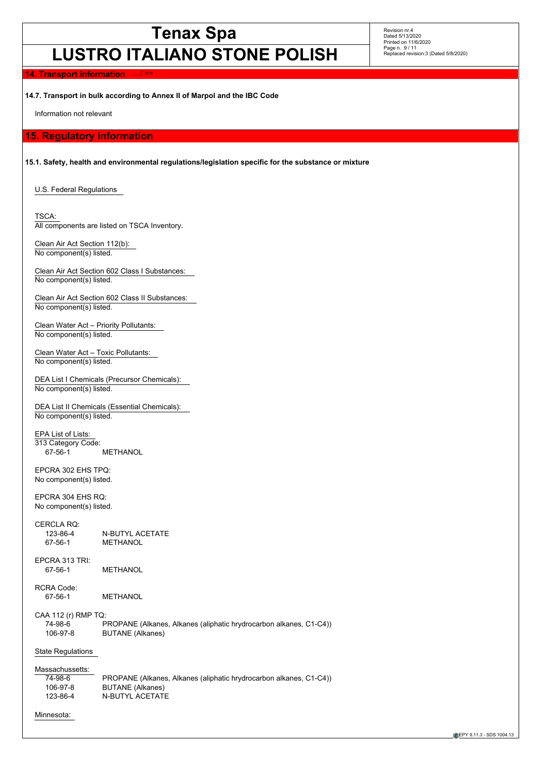# **LUSTRO ITALIANO STONE POLISH**

Revision nr.4 Dated 5/13/2020 Printed on 11/6/2020 Page n. 9 / 11 Replaced revision:3 (Dated 5/8/2020)

### **14. Transport information**

**14.7. Transport in bulk according to Annex II of Marpol and the IBC Code**

Information not relevant

# **15. Regulatory information**

**15.1. Safety, health and environmental regulations/legislation specific for the substance or mixture**

U.S. Federal Regulations

TSCA: All components are listed on TSCA Inventory.

Clean Air Act Section 112(b): No component(s) listed.

Clean Air Act Section 602 Class I Substances: No component(s) listed.

Clean Air Act Section 602 Class II Substances: No component(s) listed.

Clean Water Act – Priority Pollutants: No component(s) listed.

Clean Water Act – Toxic Pollutants: No component(s) listed.

DEA List I Chemicals (Precursor Chemicals): No component(s) listed.

DEA List II Chemicals (Essential Chemicals): No component(s) listed.

EPA List of Lists: 313 Category Code:<br>67-56-1 **METHANOL** 

EPCRA 302 EHS TPQ: No component(s) listed.

EPCRA 304 EHS RQ: No component(s) listed.

CERCLA RQ: 123-86-4 N-BUTYL ACETATE<br>67-56-1 METHANOL **METHANOL** 

EPCRA 313 TRI: 67-56-1 METHANOL

RCRA Code:

67-56-1 METHANOL

CAA 112 (r) RMP TQ:

74-98-6 PROPANE (Alkanes, Alkanes (aliphatic hrydrocarbon alkanes, C1-C4)) 106-97-8 BUTANE (Alkanes)

### State Regulations

Massachussetts:<br>74-98-6 74-98-6 PROPANE (Alkanes, Alkanes (aliphatic hrydrocarbon alkanes, C1-C4)) BUTANE (Alkanes) 123-86-4 N-BUTYL ACETATE

### Minnesota: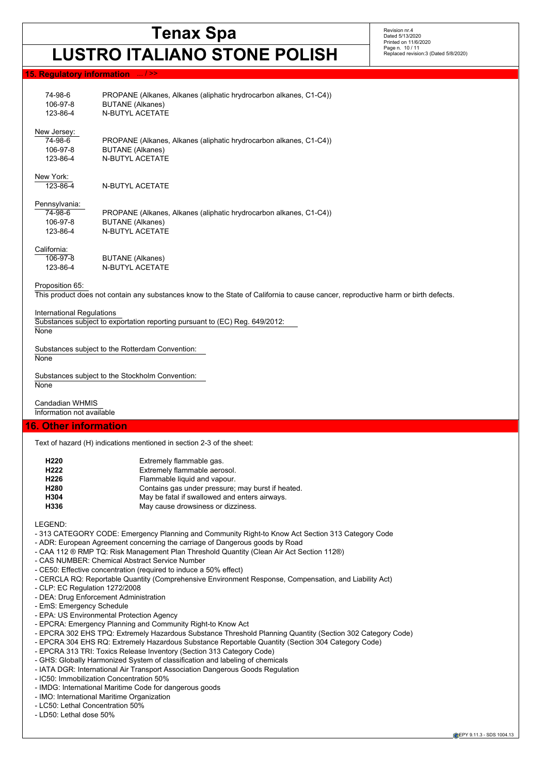# **LUSTRO ITALIANO STONE POLISH**

Revision nr.4 Dated 5/13/2020 Printed on 11/6/2020 Page n. 10 / 11 Replaced revision:3 (Dated 5/8/2020)

## **15. Regulatory information**

| 74-98-6<br>106-97-8<br>123-86-4 | PROPANE (Alkanes, Alkanes (aliphatic hrydrocarbon alkanes, C1-C4))<br><b>BUTANE</b> (Alkanes)<br><b>N-BUTYL ACETATE</b> |
|---------------------------------|-------------------------------------------------------------------------------------------------------------------------|
| New Jersey:                     |                                                                                                                         |
| 74-98-6                         | PROPANE (Alkanes, Alkanes (aliphatic hrydrocarbon alkanes, C1-C4))                                                      |
| 106-97-8                        | <b>BUTANE</b> (Alkanes)                                                                                                 |
| 123-86-4                        | <b>N-BUTYL ACETATE</b>                                                                                                  |
| New York:                       |                                                                                                                         |
| 123-86-4                        | N-BUTYL ACETATE                                                                                                         |
| Pennsylvania:                   |                                                                                                                         |
| 74-98-6                         | PROPANE (Alkanes, Alkanes (aliphatic hrydrocarbon alkanes, C1-C4))                                                      |
| 106-97-8                        | <b>BUTANE (Alkanes)</b>                                                                                                 |
| 123-86-4                        | <b>N-BUTYL ACETATE</b>                                                                                                  |
| California:                     |                                                                                                                         |
| $106-97-8$                      | RUTANE (Alkanes)                                                                                                        |

106-97-8 BUTANE (Alkanes) 123-86-4 N-BUTYL ACETATE

Proposition 65:

This product does not contain any substances know to the State of California to cause cancer, reproductive harm or birth defects.

#### International Regulations

Substances subject to exportation reporting pursuant to (EC) Reg. 649/2012:

**None** 

Substances subject to the Rotterdam Convention:

**None** 

Substances subject to the Stockholm Convention:

**None** 

Candadian WHMIS Information not available

# **16. Other information**

Text of hazard (H) indications mentioned in section 2-3 of the sheet:

| Extremely flammable gas.                          |
|---------------------------------------------------|
| Extremely flammable aerosol.                      |
| Flammable liquid and vapour.                      |
| Contains gas under pressure; may burst if heated. |
| May be fatal if swallowed and enters airways.     |
| May cause drowsiness or dizziness.                |
|                                                   |

LEGEND:

- 313 CATEGORY CODE: Emergency Planning and Community Right-to Know Act Section 313 Category Code
- ADR: European Agreement concerning the carriage of Dangerous goods by Road
- CAA 112 ® RMP TQ: Risk Management Plan Threshold Quantity (Clean Air Act Section 112®)
- CAS NUMBER: Chemical Abstract Service Number
- CE50: Effective concentration (required to induce a 50% effect)
- CERCLA RQ: Reportable Quantity (Comprehensive Environment Response, Compensation, and Liability Act)
- CLP: EC Regulation 1272/2008
- DEA: Drug Enforcement Administration
- EmS: Emergency Schedule
- EPA: US Environmental Protection Agency
- EPCRA: Emergency Planning and Community Right-to Know Act
- EPCRA 302 EHS TPQ: Extremely Hazardous Substance Threshold Planning Quantity (Section 302 Category Code)
- EPCRA 304 EHS RQ: Extremely Hazardous Substance Reportable Quantity (Section 304 Category Code)
- EPCRA 313 TRI: Toxics Release Inventory (Section 313 Category Code)
- GHS: Globally Harmonized System of classification and labeling of chemicals
- IATA DGR: International Air Transport Association Dangerous Goods Regulation
- IC50: Immobilization Concentration 50%
- IMDG: International Maritime Code for dangerous goods
- IMO: International Maritime Organization
- LC50: Lethal Concentration 50%
- LD50: Lethal dose 50%